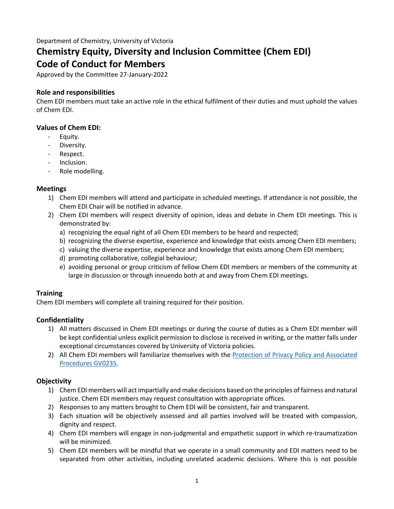# **Chemistry Equity, Diversity and Inclusion Committee (Chem EDI) Code of Conduct for Members**

Approved by the Committee 27-January-2022

# **Role and responsibilities**

Chem EDI members must take an active role in the ethical fulfilment of their duties and must uphold the values of Chem EDI.

## **Values of Chem EDI:**

- Equity.
- Diversity.
- Respect.
- Inclusion.
- Role modelling.

## **Meetings**

- 1) Chem EDI members will attend and participate in scheduled meetings. If attendance is not possible, the Chem EDI Chair will be notified in advance.
- 2) Chem EDI members will respect diversity of opinion, ideas and debate in Chem EDI meetings. This is demonstrated by:
	- a) recognizing the equal right of all Chem EDI members to be heard and respected;
	- b) recognizing the diverse expertise, experience and knowledge that exists among Chem EDI members;
	- c) valuing the diverse expertise, experience and knowledge that exists among Chem EDI members;
	- d) promoting collaborative, collegial behaviour;
	- e) avoiding personal or group criticism of fellow Chem EDI members or members of the community at large in discussion or through innuendo both at and away from Chem EDI meetings.

# **Training**

Chem EDI members will complete all training required for their position.

### **Confidentiality**

- 1) All matters discussed in Chem EDI meetings or during the course of duties as a Chem EDI member will be kept confidential unless explicit permission to disclose is received in writing, or the matter falls under exceptional circumstances covered by University of Victoria policies.
- 2) All Chem EDI members will familiarize themselves with the [Protection of Privacy Policy and Associated](https://www.uvic.ca/universitysecretary/assets/docs/policies/GV0235.pdf) [Procedures GV0235](https://www.uvic.ca/universitysecretary/assets/docs/policies/GV0235.pdf).

# **Objectivity**

- 1) Chem EDI members will act impartially and make decisions based on the principles of fairness and natural justice. Chem EDI members may request consultation with appropriate offices.
- 2) Responses to any matters brought to Chem EDI will be consistent, fair and transparent.
- 3) Each situation will be objectively assessed and all parties involved will be treated with compassion, dignity and respect.
- 4) Chem EDI members will engage in non-judgmental and empathetic support in which re-traumatization will be minimized.
- 5) Chem EDI members will be mindful that we operate in a small community and EDI matters need to be separated from other activities, including unrelated academic decisions. Where this is not possible